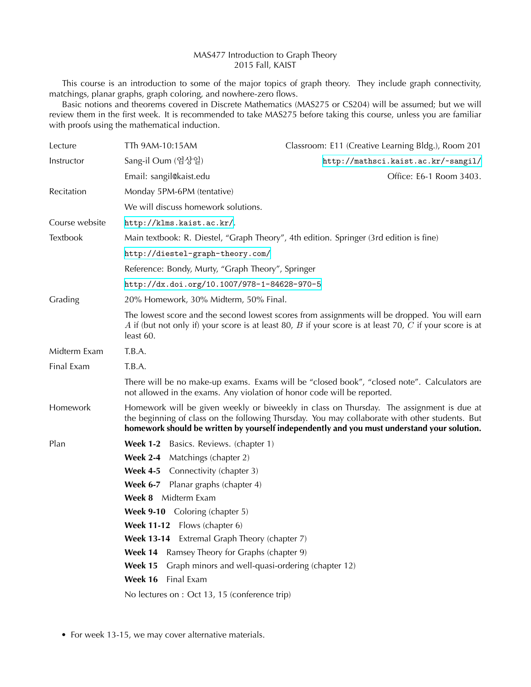## MAS477 Introduction to Graph Theory 2015 Fall, KAIST

This course is an introduction to some of the major topics of graph theory. They include graph connectivity, matchings, planar graphs, graph coloring, and nowhere-zero flows.

Basic notions and theorems covered in Discrete Mathematics (MAS275 or CS204) will be assumed; but we will review them in the first week. It is recommended to take MAS275 before taking this course, unless you are familiar with proofs using the mathematical induction.

| Lecture        | TTh 9AM-10:15AM                                                                                                                                                                                                                                                                           | Classroom: E11 (Creative Learning Bldg.), Room 201 |
|----------------|-------------------------------------------------------------------------------------------------------------------------------------------------------------------------------------------------------------------------------------------------------------------------------------------|----------------------------------------------------|
| Instructor     | Sang-il Oum (엄상일)                                                                                                                                                                                                                                                                         | http://mathsci.kaist.ac.kr/~sangil/                |
|                | Email: sangil@kaist.edu                                                                                                                                                                                                                                                                   | Office: E6-1 Room 3403.                            |
| Recitation     | Monday 5PM-6PM (tentative)                                                                                                                                                                                                                                                                |                                                    |
|                | We will discuss homework solutions.                                                                                                                                                                                                                                                       |                                                    |
| Course website | http://klms.kaist.ac.kr/.                                                                                                                                                                                                                                                                 |                                                    |
| Textbook       | Main textbook: R. Diestel, "Graph Theory", 4th edition. Springer (3rd edition is fine)                                                                                                                                                                                                    |                                                    |
|                | http://diestel-graph-theory.com/                                                                                                                                                                                                                                                          |                                                    |
|                | Reference: Bondy, Murty, "Graph Theory", Springer                                                                                                                                                                                                                                         |                                                    |
|                | http://dx.doi.org/10.1007/978-1-84628-970-5                                                                                                                                                                                                                                               |                                                    |
| Grading        | 20% Homework, 30% Midterm, 50% Final.                                                                                                                                                                                                                                                     |                                                    |
|                | The lowest score and the second lowest scores from assignments will be dropped. You will earn<br>A if (but not only if) your score is at least 80, B if your score is at least 70, C if your score is at<br>least 60.                                                                     |                                                    |
| Midterm Exam   | T.B.A.                                                                                                                                                                                                                                                                                    |                                                    |
| Final Exam     | T.B.A.                                                                                                                                                                                                                                                                                    |                                                    |
|                | There will be no make-up exams. Exams will be "closed book", "closed note". Calculators are<br>not allowed in the exams. Any violation of honor code will be reported.                                                                                                                    |                                                    |
| Homework       | Homework will be given weekly or biweekly in class on Thursday. The assignment is due at<br>the beginning of class on the following Thursday. You may collaborate with other students. But<br>homework should be written by yourself independently and you must understand your solution. |                                                    |
| Plan           | <b>Week 1-2</b><br>Basics. Reviews. (chapter 1)                                                                                                                                                                                                                                           |                                                    |
|                | <b>Week 2-4</b><br>Matchings (chapter 2)                                                                                                                                                                                                                                                  |                                                    |
|                | <b>Week 4-5</b><br>Connectivity (chapter 3)                                                                                                                                                                                                                                               |                                                    |
|                | <b>Week 6-7</b><br>Planar graphs (chapter 4)                                                                                                                                                                                                                                              |                                                    |
|                | Week 8 Midterm Exam                                                                                                                                                                                                                                                                       |                                                    |
|                | <b>Week 9-10</b> Coloring (chapter 5)                                                                                                                                                                                                                                                     |                                                    |
|                | Week 11-12 Flows (chapter 6)                                                                                                                                                                                                                                                              |                                                    |
|                | Week 13-14 Extremal Graph Theory (chapter 7)                                                                                                                                                                                                                                              |                                                    |
|                | Week 14<br>Ramsey Theory for Graphs (chapter 9)                                                                                                                                                                                                                                           |                                                    |
|                | Week 15<br>Graph minors and well-quasi-ordering (chapter 12)                                                                                                                                                                                                                              |                                                    |
|                | Week 16<br>Final Exam                                                                                                                                                                                                                                                                     |                                                    |
|                | No lectures on : Oct 13, 15 (conference trip)                                                                                                                                                                                                                                             |                                                    |

<sup>•</sup> For week 13-15, we may cover alternative materials.